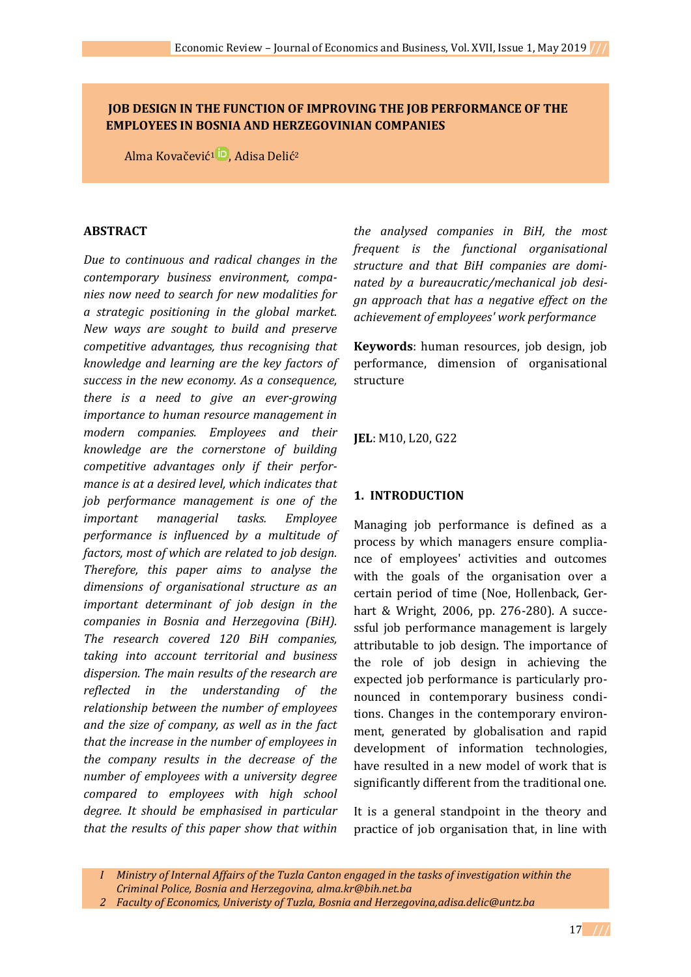# **JOB DESIGN IN THE FUNCTION OF IMPROVING THE JOB PERFORMANCE OF THE EMPLOYEES IN BOSNIA AND HERZEGOVINIAN COMPANIES**

Alma [Kovačević](https://orcid.org/0000-0001-5580-6974)<sup>1</sup> <sup>D</sup>, Adisa Delić<sup>2</sup>

## **ABSTRACT**

*Due to continuous and radical changes in the contemporary business environment, companies now need to search for new modalities for a strategic positioning in the global market. New ways are sought to build and preserve competitive advantages, thus recognising that knowledge and learning are the key factors of success in the new economy. As a consequence, there is a need to give an ever-growing importance to human resource management in modern companies. Employees and their knowledge are the cornerstone of building competitive advantages only if their performance is at a desired level, which indicates that job performance management is one of the important managerial tasks. Employee performance is influenced by a multitude of factors, most of which are related to job design. Therefore, this paper aims to analyse the dimensions of organisational structure as an important determinant of job design in the companies in Bosnia and Herzegovina (BiH). The research covered 120 BiH companies, taking into account territorial and business dispersion. The main results of the research are reflected in the understanding of the relationship between the number of employees and the size of company, as well as in the fact that the increase in the number of employees in the company results in the decrease of the number of employees with a university degree compared to employees with high school degree. It should be emphasised in particular that the results of this paper show that within* 

*the analysed companies in BiH, the most frequent is the functional organisational structure and that BiH companies are dominated by a bureaucratic/mechanical job design approach that has a negative effect on the achievement of employees' work performance*

**Keywords**: human resources, job design, job performance, dimension of organisational structure

**JEL**: M10, L20, G22

## **1. INTRODUCTION**

Managing job performance is defined as a process by which managers ensure compliance of employees' activities and outcomes with the goals of the organisation over a certain period of time (Noe, Hollenback, Gerhart & Wright, 2006, pp. 276-280). A successful job performance management is largely attributable to job design. The importance of the role of job design in achieving the expected job performance is particularly pronounced in contemporary business conditions. Changes in the contemporary environment, generated by globalisation and rapid development of information technologies, have resulted in a new model of work that is significantly different from the traditional one.

It is a general standpoint in the theory and practice of job organisation that, in line with

*I Ministry of Internal Affairs of the Tuzla Canton engaged in the tasks of investigation within the Criminal Police, Bosnia and Herzegovina, [alma.kr@bih.net.ba](mailto:alma.kr@bih.net.ba)*

*<sup>2</sup> Faculty of Economics, Univeristy of Tuzla, Bosnia and Herzegovin[a,adisa.delic@untz.ba](mailto:adisa.delic@untz.ba)*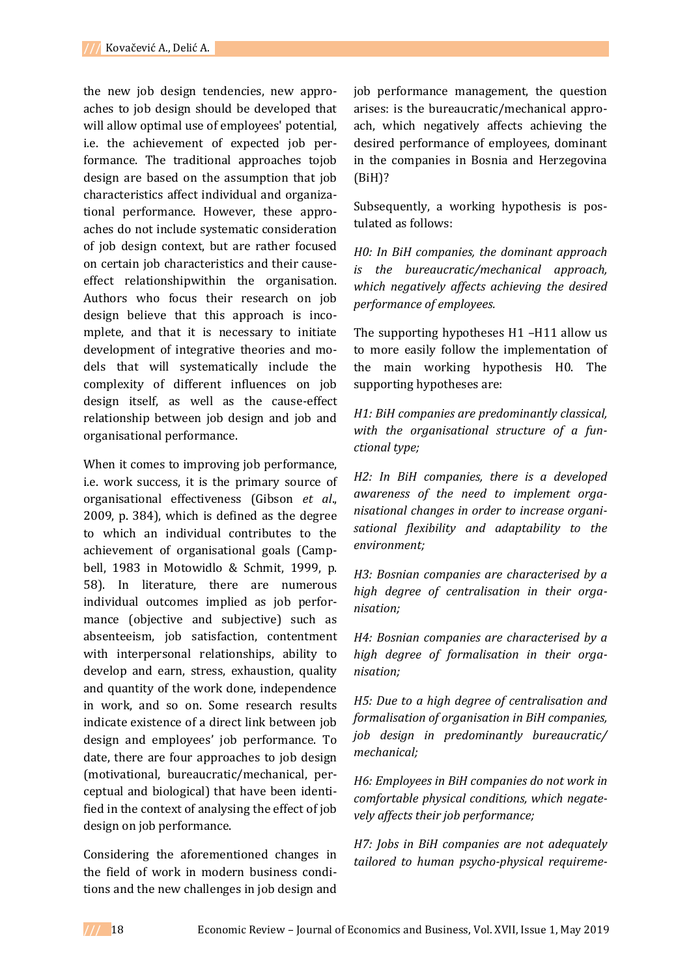the new job design tendencies, new approaches to job design should be developed that will allow optimal use of employees' potential, i.e. the achievement of expected job performance. The traditional approaches tojob design are based on the assumption that job characteristics affect individual and organizational performance. However, these approaches do not include systematic consideration of job design context, but are rather focused on certain job characteristics and their causeeffect relationshipwithin the organisation. Authors who focus their research on job design believe that this approach is incomplete, and that it is necessary to initiate development of integrative theories and models that will systematically include the complexity of different influences on job design itself, as well as the cause-effect relationship between job design and job and organisational performance.

When it comes to improving job performance, i.e. work success, it is the primary source of organisational effectiveness (Gibson *et al*., 2009, p. 384), which is defined as the degree to which an individual contributes to the achievement of organisational goals (Campbell, 1983 in Motowidlo & Schmit, 1999, p. 58). In literature, there are numerous individual outcomes implied as job performance (objective and subjective) such as absenteeism, job satisfaction, contentment with interpersonal relationships, ability to develop and earn, stress, exhaustion, quality and quantity of the work done, independence in work, and so on. Some research results indicate existence of a direct link between job design and employees' job performance. To date, there are four approaches to job design (motivational, bureaucratic/mechanical, perceptual and biological) that have been identified in the context of analysing the effect of job design on job performance.

Considering the aforementioned changes in the field of work in modern business conditions and the new challenges in job design and

job performance management, the question arises: is the bureaucratic/mechanical approach, which negatively affects achieving the desired performance of employees, dominant in the companies in Bosnia and Herzegovina (BiH)?

Subsequently, a working hypothesis is postulated as follows:

*H0: In BiH companies, the dominant approach is the bureaucratic/mechanical approach, which negatively affects achieving the desired performance of employees.*

The supporting hypotheses H1 –H11 allow us to more easily follow the implementation of the main working hypothesis H0. The supporting hypotheses are:

*H1: BiH companies are predominantly classical, with the organisational structure of a functional type;*

*H2: In BiH companies, there is a developed awareness of the need to implement organisational changes in order to increase organisational flexibility and adaptability to the environment;*

*H3: Bosnian companies are characterised by a high degree of centralisation in their organisation;* 

*H4: Bosnian companies are characterised by a high degree of formalisation in their organisation;* 

*H5: Due to a high degree of centralisation and formalisation of organisation in BiH companies, job design in predominantly bureaucratic/ mechanical;* 

*H6: Employees in BiH companies do not work in comfortable physical conditions, which negatevely affects their job performance;* 

*H7: Jobs in BiH companies are not adequately tailored to human psycho-physical requireme-*

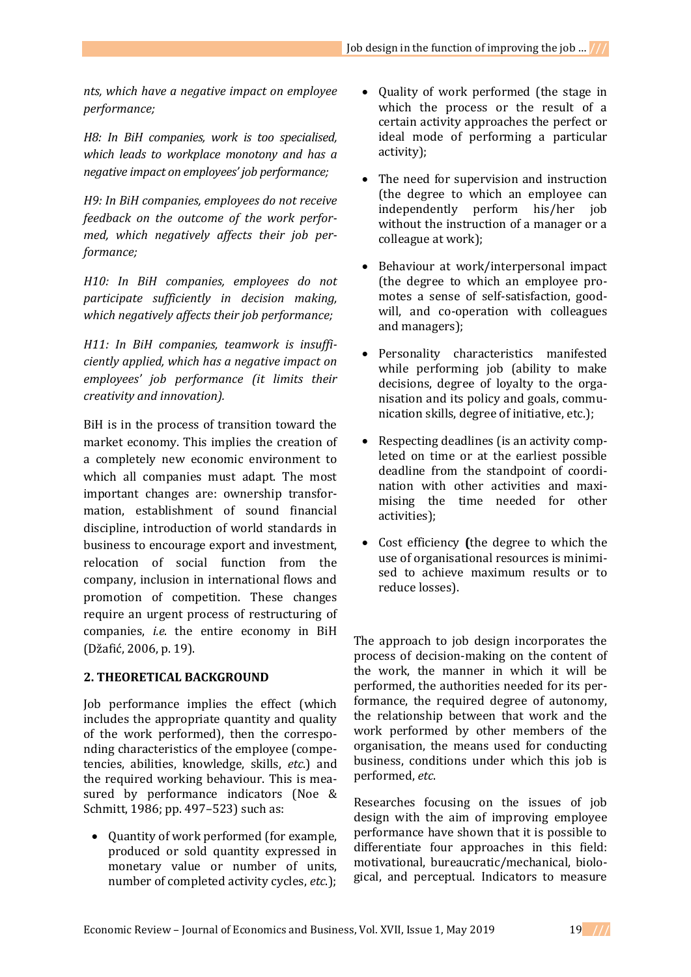*nts, which have a negative impact on employee performance;* 

*H8: In BiH companies, work is too specialised, which leads to workplace monotony and has a negative impact on employees' job performance;* 

*H9: In BiH companies, employees do not receive feedback on the outcome of the work performed, which negatively affects their job performance;* 

*H10: In BiH companies, employees do not participate sufficiently in decision making, which negatively affects their job performance;* 

*H11: In BiH companies, teamwork is insufficiently applied, which has a negative impact on employees' job performance (it limits their creativity and innovation).* 

BiH is in the process of transition toward the market economy. This implies the creation of a completely new economic environment to which all companies must adapt. The most important changes are: ownership transformation, establishment of sound financial discipline, introduction of world standards in business to encourage export and investment, relocation of social function from the company, inclusion in international flows and promotion of competition. These changes require an urgent process of restructuring of companies, *i.e*. the entire economy in BiH (Džafić, 2006, p. 19).

# **2. THEORETICAL BACKGROUND**

Job performance implies the effect (which includes the appropriate quantity and quality of the work performed), then the corresponding characteristics of the employee (competencies, abilities, knowledge, skills, *etc*.) and the required working behaviour. This is measured by performance indicators (Noe & Schmitt, 1986; pp. 497–523) such as:

• Ouantity of work performed (for example, produced or sold quantity expressed in monetary value or number of units, number of completed activity cycles, *etc*.);

- Quality of work performed (the stage in which the process or the result of a certain activity approaches the perfect or ideal mode of performing a particular activity);
- The need for supervision and instruction (the degree to which an employee can independently perform his/her job without the instruction of a manager or a colleague at work);
- Behaviour at work/interpersonal impact (the degree to which an employee promotes a sense of self-satisfaction, goodwill, and co-operation with colleagues and managers);
- Personality characteristics manifested while performing job (ability to make decisions, degree of loyalty to the organisation and its policy and goals, communication skills, degree of initiative, etc.);
- Respecting deadlines (is an activity completed on time or at the earliest possible deadline from the standpoint of coordination with other activities and maximising the time needed for other activities);
- Cost efficiency **(**the degree to which the use of organisational resources is minimised to achieve maximum results or to reduce losses).

The approach to job design incorporates the process of decision-making on the content of the work, the manner in which it will be performed, the authorities needed for its performance, the required degree of autonomy, the relationship between that work and the work performed by other members of the organisation, the means used for conducting business, conditions under which this job is performed, *etc*.

Researches focusing on the issues of job design with the aim of improving employee performance have shown that it is possible to differentiate four approaches in this field: motivational, bureaucratic/mechanical, biological, and perceptual. Indicators to measure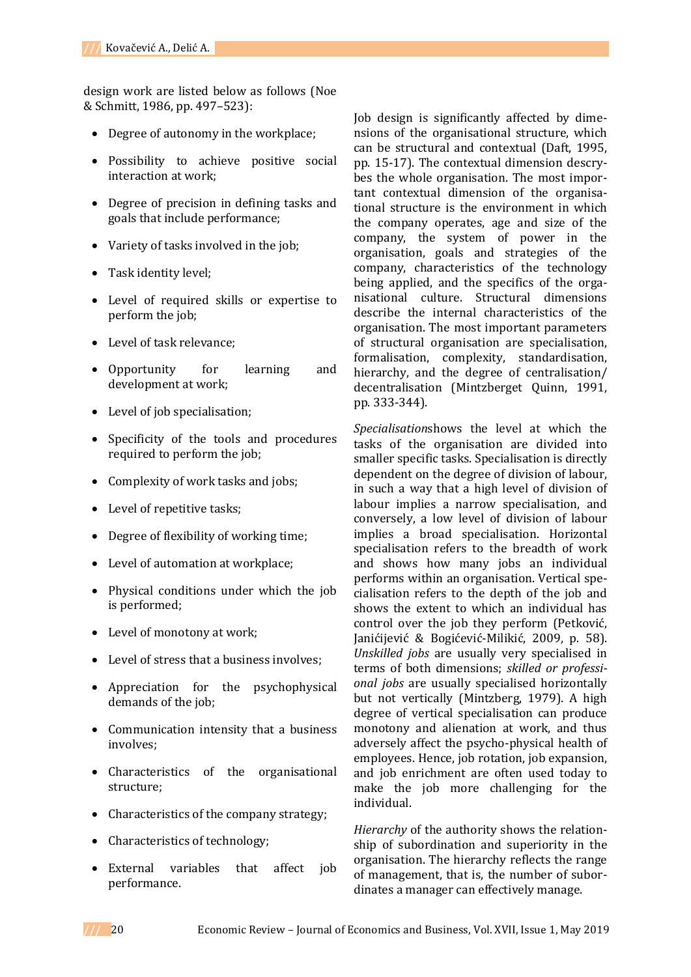design work are listed below as follows (Noe & Schmitt, 1986, pp. 497–523):

- Degree of autonomy in the workplace;
- Possibility to achieve positive social interaction at work;
- Degree of precision in defining tasks and goals that include performance;
- Variety of tasks involved in the job;
- Task identity level;
- Level of required skills or expertise to perform the job;
- Level of task relevance;
- Opportunity for learning and development at work;
- Level of job specialisation;
- Specificity of the tools and procedures required to perform the job;
- Complexity of work tasks and jobs;
- Level of repetitive tasks:
- Degree of flexibility of working time;
- Level of automation at workplace;
- Physical conditions under which the job is performed;
- Level of monotony at work;
- Level of stress that a business involves:
- Appreciation for the psychophysical demands of the job;
- Communication intensity that a business involves;
- Characteristics of the organisational structure;
- Characteristics of the company strategy;
- Characteristics of technology;
- External variables that affect job performance.

Job design is significantly affected by dimensions of the organisational structure, which can be structural and contextual (Daft, 1995, pp. 15-17). The contextual dimension descrybes the whole organisation. The most important contextual dimension of the organisational structure is the environment in which the company operates, age and size of the company, the system of power in the organisation, goals and strategies of the company, characteristics of the technology being applied, and the specifics of the organisational culture. Structural dimensions describe the internal characteristics of the organisation. The most important parameters of structural organisation are specialisation, formalisation, complexity, standardisation, hierarchy, and the degree of centralisation/ decentralisation (Mintzberget Quinn, 1991, pp. 333-344).

*Specialisation*shows the level at which the tasks of the organisation are divided into smaller specific tasks. Specialisation is directly dependent on the degree of division of labour, in such a way that a high level of division of labour implies a narrow specialisation, and conversely, a low level of division of labour implies a broad specialisation. Horizontal specialisation refers to the breadth of work and shows how many jobs an individual performs within an organisation. Vertical specialisation refers to the depth of the job and shows the extent to which an individual has control over the job they perform (Petković, Janićijević & Bogićević-Milikić, 2009, p. 58). *Unskilled jobs* are usually very specialised in terms of both dimensions; *skilled or professional jobs* are usually specialised horizontally but not vertically (Mintzberg, 1979). A high degree of vertical specialisation can produce monotony and alienation at work, and thus adversely affect the psycho-physical health of employees. Hence, job rotation, job expansion, and job enrichment are often used today to make the job more challenging for the individual.

*Hierarchy* of the authority shows the relationship of subordination and superiority in the organisation. The hierarchy reflects the range of management, that is, the number of subordinates a manager can effectively manage.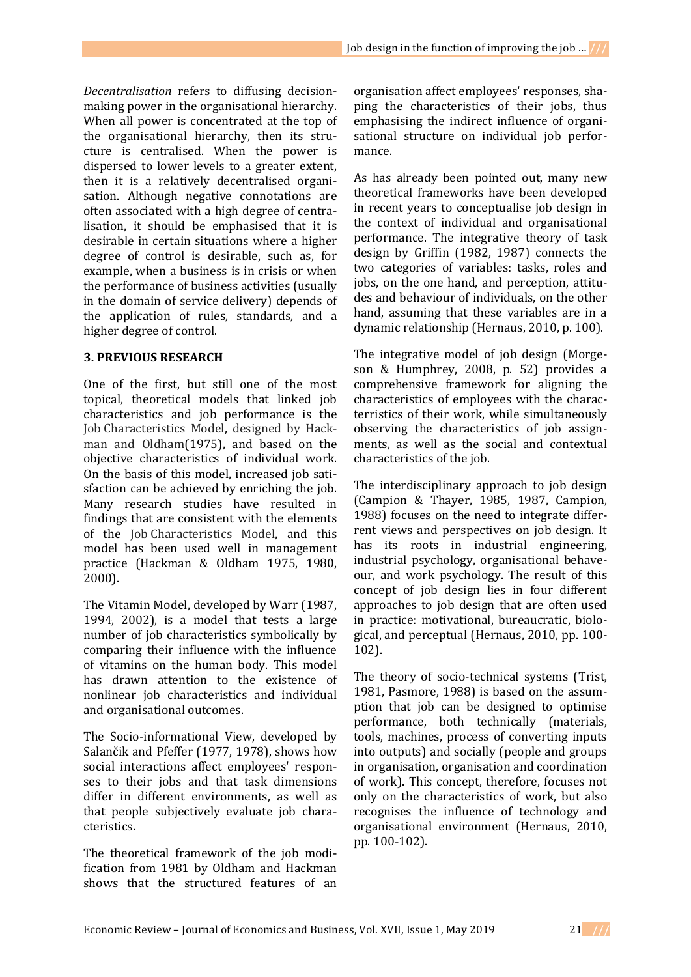*Decentralisation* refers to diffusing decisionmaking power in the organisational hierarchy. When all power is concentrated at the top of the organisational hierarchy, then its structure is centralised. When the power is dispersed to lower levels to a greater extent, then it is a relatively decentralised organisation. Although negative connotations are often associated with a high degree of centralisation, it should be emphasised that it is desirable in certain situations where a higher degree of control is desirable, such as, for example, when a business is in crisis or when the performance of business activities (usually in the domain of service delivery) depends of the application of rules, standards, and a higher degree of control.

## **3. PREVIOUS RESEARCH**

One of the first, but still one of the most topical, theoretical models that linked job characteristics and job performance is the Job Characteristics Model, designed by Hackman and Oldham(1975), and based on the objective characteristics of individual work. On the basis of this model, increased job satisfaction can be achieved by enriching the job. Many research studies have resulted in findings that are consistent with the elements of the Job Characteristics Model, and this model has been used well in management practice (Hackman & Oldham 1975, 1980, 2000).

The Vitamin Model, developed by Warr (1987, 1994, 2002), is a model that tests a large number of job characteristics symbolically by comparing their influence with the influence of vitamins on the human body. This model has drawn attention to the existence of nonlinear job characteristics and individual and organisational outcomes.

The Socio-informational View, developed by Salančik and Pfeffer (1977, 1978), shows how social interactions affect employees' responses to their jobs and that task dimensions differ in different environments, as well as that people subjectively evaluate job characteristics.

The theoretical framework of the job modification from 1981 by Oldham and Hackman shows that the structured features of an organisation affect employees' responses, shaping the characteristics of their jobs, thus emphasising the indirect influence of organisational structure on individual job performance.

As has already been pointed out, many new theoretical frameworks have been developed in recent years to conceptualise job design in the context of individual and organisational performance. The integrative theory of task design by Griffin (1982, 1987) connects the two categories of variables: tasks, roles and jobs, on the one hand, and perception, attitudes and behaviour of individuals, on the other hand, assuming that these variables are in a dynamic relationship (Hernaus, 2010, p. 100).

The integrative model of job design (Morgeson & Humphrey, 2008, p. 52) provides a comprehensive framework for aligning the characteristics of employees with the characterristics of their work, while simultaneously observing the characteristics of job assignments, as well as the social and contextual characteristics of the job.

The interdisciplinary approach to job design (Campion & Thayer, 1985, 1987, Campion, 1988) focuses on the need to integrate differrent views and perspectives on job design. It has its roots in industrial engineering, industrial psychology, organisational behaveour, and work psychology. The result of this concept of job design lies in four different approaches to job design that are often used in practice: motivational, bureaucratic, biological, and perceptual (Hernaus, 2010, pp. 100- 102).

The theory of socio-technical systems (Trist, 1981, Pasmore, 1988) is based on the assumption that job can be designed to optimise performance, both technically (materials, tools, machines, process of converting inputs into outputs) and socially (people and groups in organisation, organisation and coordination of work). This concept, therefore, focuses not only on the characteristics of work, but also recognises the influence of technology and organisational environment (Hernaus, 2010, pp. 100-102).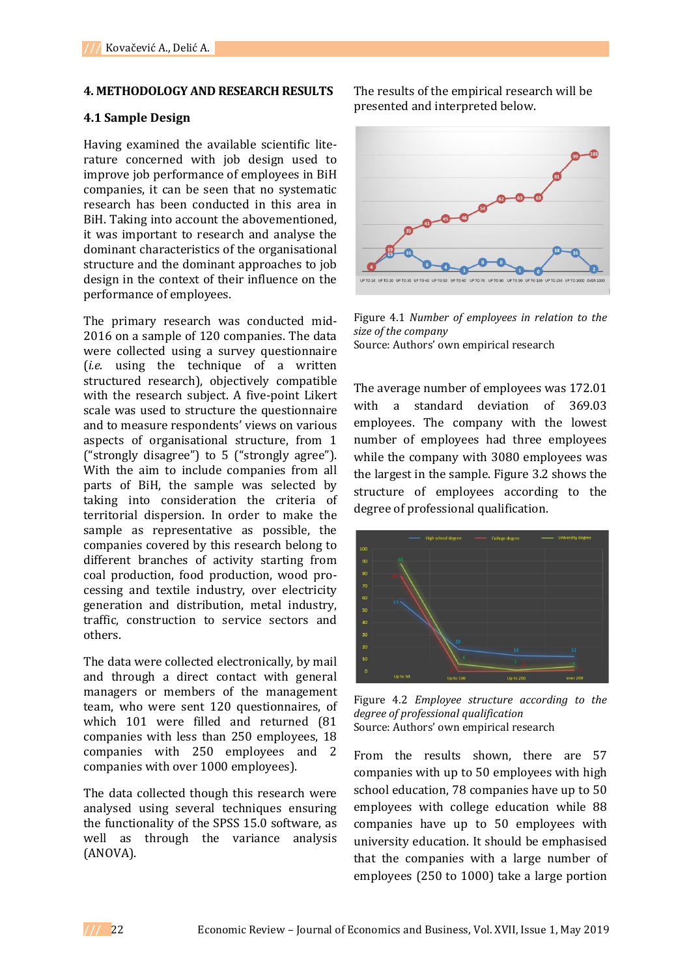#### **4. METHODOLOGY AND RESEARCH RESULTS**

### **4.1 Sample Design**

Having examined the available scientific literature concerned with job design used to improve job performance of employees in BiH companies, it can be seen that no systematic research has been conducted in this area in BiH. Taking into account the abovementioned, it was important to research and analyse the dominant characteristics of the organisational structure and the dominant approaches to job design in the context of their influence on the performance of employees.

The primary research was conducted mid-2016 on a sample of 120 companies. The data were collected using a survey questionnaire (*i.e*. using the technique of a written structured research), objectively compatible with the research subject. A five-point Likert scale was used to structure the questionnaire and to measure respondents' views on various aspects of organisational structure, from 1 ("strongly disagree") to 5 ("strongly agree"). With the aim to include companies from all parts of BiH, the sample was selected by taking into consideration the criteria of territorial dispersion. In order to make the sample as representative as possible, the companies covered by this research belong to different branches of activity starting from coal production, food production, wood processing and textile industry, over electricity generation and distribution, metal industry, traffic, construction to service sectors and others.

The data were collected electronically, by mail and through a direct contact with general managers or members of the management team, who were sent 120 questionnaires, of which 101 were filled and returned (81 companies with less than 250 employees, 18 companies with 250 employees and 2 companies with over 1000 employees).

The data collected though this research were analysed using several techniques ensuring the functionality of the SPSS 15.0 software, as well as through the variance analysis (ANOVA).

The results of the empirical research will be presented and interpreted below.



Figure 4.1 *Number of employees in relation to the size of the company*  Source: Authors' own empirical research

The average number of employees was 172.01 with a standard deviation of 369.03 employees. The company with the lowest number of employees had three employees while the company with 3080 employees was the largest in the sample. Figure 3.2 shows the structure of employees according to the degree of professional qualification.



Figure 4.2 *Employee structure according to the degree of professional qualification*  Source: Authors' own empirical research

From the results shown, there are 57 companies with up to 50 employees with high school education, 78 companies have up to 50 employees with college education while 88 companies have up to 50 employees with university education. It should be emphasised that the companies with a large number of employees (250 to 1000) take a large portion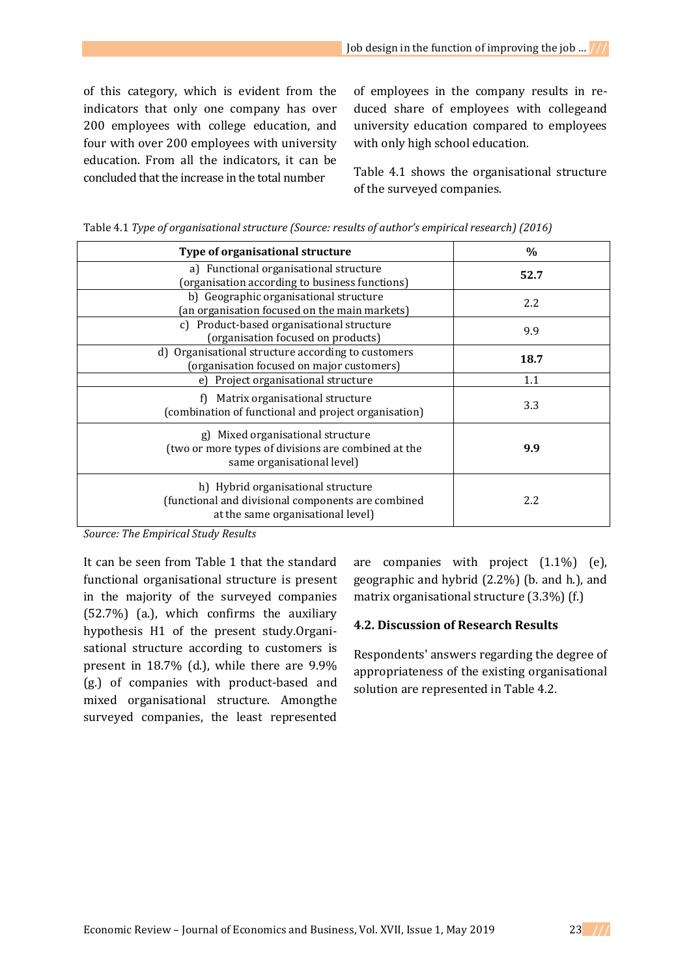of this category, which is evident from the indicators that only one company has over 200 employees with college education, and four with over 200 employees with university education. From all the indicators, it can be concluded that the increase in the total number

of employees in the company results in reduced share of employees with collegeand university education compared to employees with only high school education.

Table 4.1 shows the organisational structure of the surveyed companies.

| Type of organisational structure                                                                                              | $\%$ |
|-------------------------------------------------------------------------------------------------------------------------------|------|
| a) Functional organisational structure<br>(organisation according to business functions)                                      | 52.7 |
| b) Geographic organisational structure<br>(an organisation focused on the main markets)                                       | 2.2  |
| c) Product-based organisational structure<br>(organisation focused on products)                                               | 9.9  |
| d) Organisational structure according to customers<br>(organisation focused on major customers)                               | 18.7 |
| e) Project organisational structure                                                                                           | 1.1  |
| f) Matrix organisational structure<br>(combination of functional and project organisation)                                    | 3.3  |
| g) Mixed organisational structure<br>(two or more types of divisions are combined at the<br>same organisational level)        | 9.9  |
| h) Hybrid organisational structure<br>(functional and divisional components are combined<br>at the same organisational level) | 2.2  |

Table 4.1 *Type of organisational structure (Source: results of author's empirical research) (2016)*

*Source: The Empirical Study Results*

It can be seen from Table 1 that the standard functional organisational structure is present in the majority of the surveyed companies (52.7%) (a.), which confirms the auxiliary hypothesis H1 of the present study.Organisational structure according to customers is present in 18.7% (d.), while there are 9.9% (g.) of companies with product-based and mixed organisational structure. Amongthe surveyed companies, the least represented

are companies with project (1.1%) (e), geographic and hybrid (2.2%) (b. and h.), and matrix organisational structure (3.3%) (f.)

### **4.2. Discussion of Research Results**

Respondents' answers regarding the degree of appropriateness of the existing organisational solution are represented in Table 4.2.

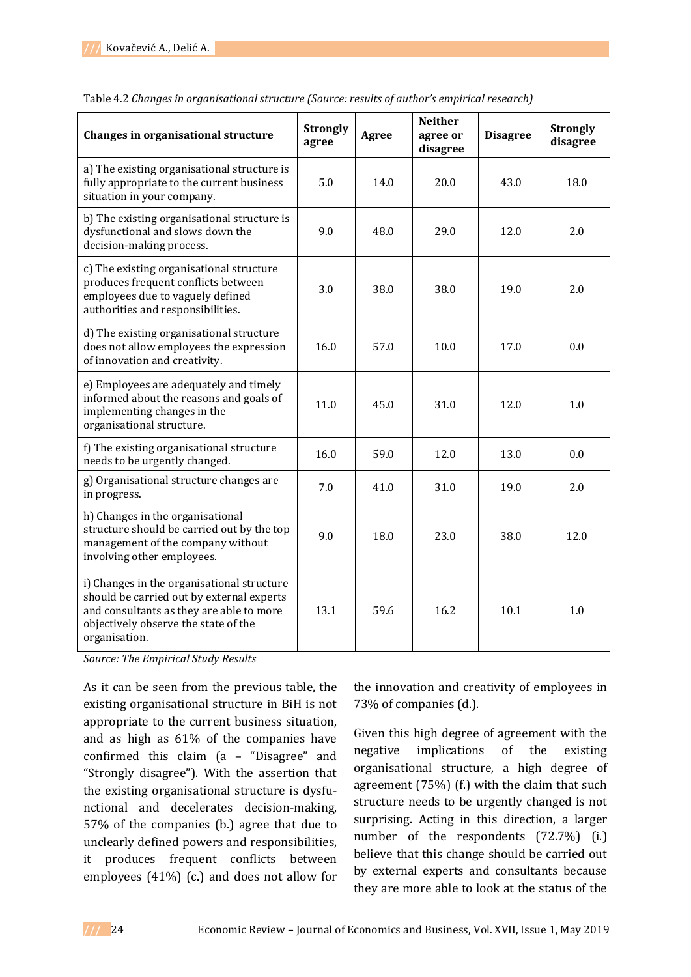| Changes in organisational structure                                                                                                                                                          | <b>Strongly</b><br>agree | Agree | <b>Neither</b><br>agree or<br>disagree | <b>Disagree</b> | <b>Strongly</b><br>disagree |
|----------------------------------------------------------------------------------------------------------------------------------------------------------------------------------------------|--------------------------|-------|----------------------------------------|-----------------|-----------------------------|
| a) The existing organisational structure is<br>fully appropriate to the current business<br>situation in your company.                                                                       | 5.0                      | 14.0  | 20.0                                   | 43.0            | 18.0                        |
| b) The existing organisational structure is<br>dysfunctional and slows down the<br>decision-making process.                                                                                  | 9.0                      | 48.0  | 29.0                                   | 12.0            | 2.0                         |
| c) The existing organisational structure<br>produces frequent conflicts between<br>employees due to vaguely defined<br>authorities and responsibilities.                                     | 3.0                      | 38.0  | 38.0                                   | 19.0            | 2.0                         |
| d) The existing organisational structure<br>does not allow employees the expression<br>of innovation and creativity.                                                                         | 16.0                     | 57.0  | 10.0                                   | 17.0            | 0.0                         |
| e) Employees are adequately and timely<br>informed about the reasons and goals of<br>implementing changes in the<br>organisational structure.                                                | 11.0                     | 45.0  | 31.0                                   | 12.0            | 1.0                         |
| f) The existing organisational structure<br>needs to be urgently changed.                                                                                                                    | 16.0                     | 59.0  | 12.0                                   | 13.0            | 0.0                         |
| g) Organisational structure changes are<br>in progress.                                                                                                                                      | 7.0                      | 41.0  | 31.0                                   | 19.0            | 2.0                         |
| h) Changes in the organisational<br>structure should be carried out by the top<br>management of the company without<br>involving other employees.                                            | 9.0                      | 18.0  | 23.0                                   | 38.0            | 12.0                        |
| i) Changes in the organisational structure<br>should be carried out by external experts<br>and consultants as they are able to more<br>objectively observe the state of the<br>organisation. | 13.1                     | 59.6  | 16.2                                   | 10.1            | 1.0                         |

Table 4.2 *Changes in organisational structure (Source: results of author's empirical research)*

*Source: The Empirical Study Results*

As it can be seen from the previous table, the existing organisational structure in BiH is not appropriate to the current business situation, and as high as 61% of the companies have confirmed this claim (a – "Disagree" and "Strongly disagree"). With the assertion that the existing organisational structure is dysfunctional and decelerates decision-making, 57% of the companies (b.) agree that due to unclearly defined powers and responsibilities, it produces frequent conflicts between employees (41%) (c.) and does not allow for

the innovation and creativity of employees in 73% of companies (d.).

Given this high degree of agreement with the negative implications of the existing organisational structure, a high degree of agreement (75%) (f.) with the claim that such structure needs to be urgently changed is not surprising. Acting in this direction, a larger number of the respondents (72.7%) (i.) believe that this change should be carried out by external experts and consultants because they are more able to look at the status of the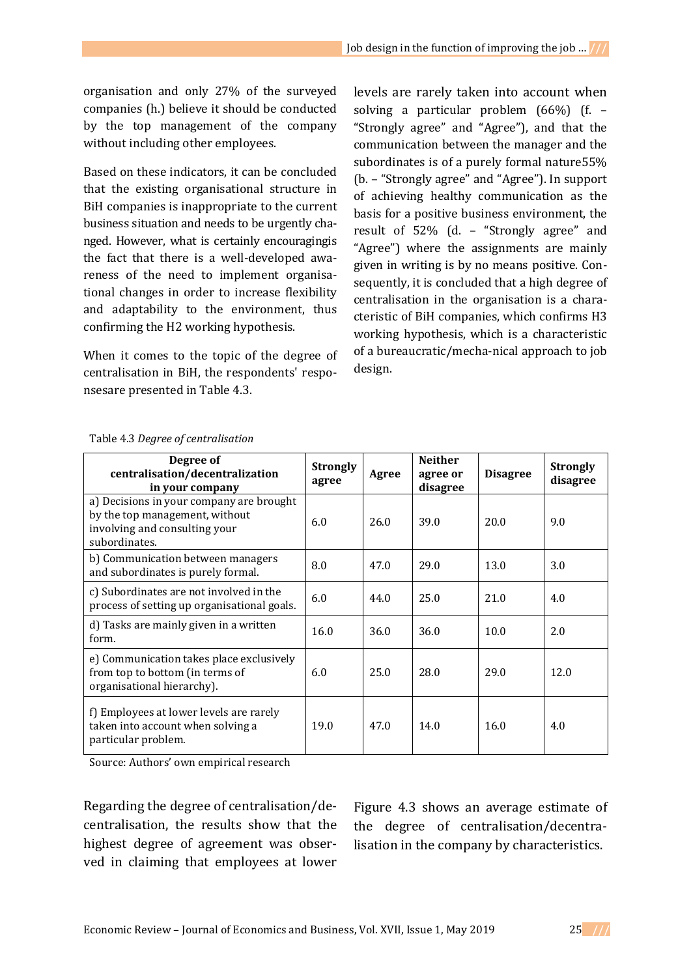organisation and only 27% of the surveyed companies (h.) believe it should be conducted by the top management of the company without including other employees.

Based on these indicators, it can be concluded that the existing organisational structure in BiH companies is inappropriate to the current business situation and needs to be urgently changed. However, what is certainly encouragingis the fact that there is a well-developed awareness of the need to implement organisational changes in order to increase flexibility and adaptability to the environment, thus confirming the H2 working hypothesis.

When it comes to the topic of the degree of centralisation in BiH, the respondents' responsesare presented in Table 4.3.

levels are rarely taken into account when solving a particular problem (66%) (f. – "Strongly agree" and "Agree"), and that the communication between the manager and the subordinates is of a purely formal nature55% (b. – "Strongly agree" and "Agree"). In support of achieving healthy communication as the basis for a positive business environment, the result of 52% (d. – "Strongly agree" and "Agree") where the assignments are mainly given in writing is by no means positive. Consequently, it is concluded that a high degree of centralisation in the organisation is a characteristic of BiH companies, which confirms H3 working hypothesis, which is a characteristic of a bureaucratic/mecha-nical approach to job design.

| Degree of<br>centralisation/decentralization<br>in your company                                                              | <b>Strongly</b><br>agree | Agree | <b>Neither</b><br>agree or<br>disagree | <b>Disagree</b> | <b>Strongly</b><br>disagree |
|------------------------------------------------------------------------------------------------------------------------------|--------------------------|-------|----------------------------------------|-----------------|-----------------------------|
| a) Decisions in your company are brought<br>by the top management, without<br>involving and consulting your<br>subordinates. | 6.0                      | 26.0  | 39.0                                   | 20.0            | 9.0                         |
| b) Communication between managers<br>and subordinates is purely formal.                                                      | 8.0                      | 47.0  | 29.0                                   | 13.0            | 3.0                         |
| c) Subordinates are not involved in the<br>process of setting up organisational goals.                                       | 6.0                      | 44.0  | 25.0                                   | 21.0            | 4.0                         |
| d) Tasks are mainly given in a written<br>form.                                                                              | 16.0                     | 36.0  | 36.0                                   | 10.0            | 2.0                         |
| e) Communication takes place exclusively<br>from top to bottom (in terms of<br>organisational hierarchy).                    | 6.0                      | 25.0  | 28.0                                   | 29.0            | 12.0                        |
| f) Employees at lower levels are rarely<br>taken into account when solving a<br>particular problem.                          | 19.0                     | 47.0  | 14.0                                   | 16.0            | 4.0                         |

#### Table 4.3 *Degree of centralisation*

Source: Authors' own empirical research

Regarding the degree of centralisation/decentralisation, the results show that the highest degree of agreement was observed in claiming that employees at lower

Figure 4.3 shows an average estimate of the degree of centralisation/decentralisation in the company by characteristics.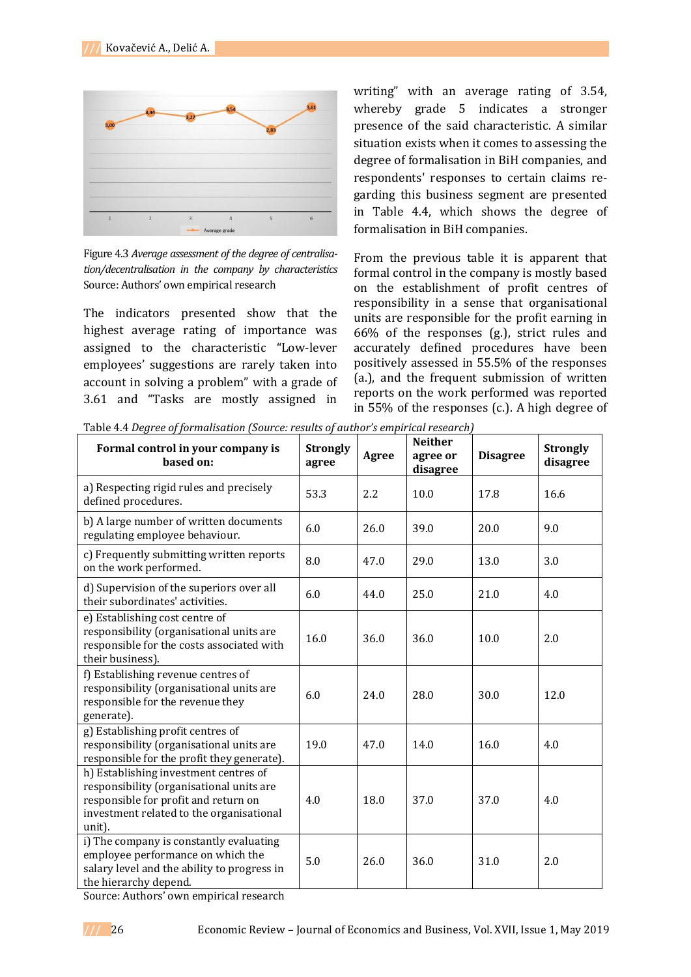

Figure 4.3 *Average assessment of the degree of centralisation/decentralisation in the company by characteristics* Source: Authors' own empirical research

The indicators presented show that the highest average rating of importance was assigned to the characteristic "Low-lever employees' suggestions are rarely taken into account in solving a problem" with a grade of 3.61 and "Tasks are mostly assigned in

writing" with an average rating of 3.54, whereby grade 5 indicates a stronger presence of the said characteristic. A similar situation exists when it comes to assessing the degree of formalisation in BiH companies, and respondents' responses to certain claims regarding this business segment are presented in Table 4.4, which shows the degree of formalisation in BiH companies.

From the previous table it is apparent that formal control in the company is mostly based on the establishment of profit centres of responsibility in a sense that organisational units are responsible for the profit earning in 66% of the responses (g.), strict rules and accurately defined procedures have been positively assessed in 55.5% of the responses (a.), and the frequent submission of written reports on the work performed was reported in 55% of the responses (c.). A high degree of

Table 4.4 *Degree of formalisation (Source: results of author's empirical research)*

| Formal control in your company is<br>based on:                                                                                                                                  | <b>Strongly</b><br>agree | Agree | <b>Neither</b><br>agree or<br>disagree | <b>Disagree</b> | <b>Strongly</b><br>disagree |
|---------------------------------------------------------------------------------------------------------------------------------------------------------------------------------|--------------------------|-------|----------------------------------------|-----------------|-----------------------------|
| a) Respecting rigid rules and precisely<br>defined procedures.                                                                                                                  | 53.3                     | 2.2   | 10.0                                   | 17.8            | 16.6                        |
| b) A large number of written documents<br>regulating employee behaviour.                                                                                                        | 6.0                      | 26.0  | 39.0                                   | 20.0            | 9.0                         |
| c) Frequently submitting written reports<br>on the work performed.                                                                                                              | 8.0                      | 47.0  | 29.0                                   | 13.0            | 3.0                         |
| d) Supervision of the superiors over all<br>their subordinates' activities.                                                                                                     | 6.0                      | 44.0  | 25.0                                   | 21.0            | 4.0                         |
| e) Establishing cost centre of<br>responsibility (organisational units are<br>responsible for the costs associated with<br>their business).                                     | 16.0                     | 36.0  | 36.0                                   | 10.0            | 2.0                         |
| f) Establishing revenue centres of<br>responsibility (organisational units are<br>responsible for the revenue they<br>generate).                                                | 6.0                      | 24.0  | 28.0                                   | 30.0            | 12.0                        |
| g) Establishing profit centres of<br>responsibility (organisational units are<br>responsible for the profit they generate).                                                     | 19.0                     | 47.0  | 14.0                                   | 16.0            | 4.0                         |
| h) Establishing investment centres of<br>responsibility (organisational units are<br>responsible for profit and return on<br>investment related to the organisational<br>unit). | 4.0                      | 18.0  | 37.0                                   | 37.0            | 4.0                         |
| i) The company is constantly evaluating<br>employee performance on which the<br>salary level and the ability to progress in<br>the hierarchy depend.                            | 5.0                      | 26.0  | 36.0                                   | 31.0            | 2.0                         |

Source: Authors' own empirical research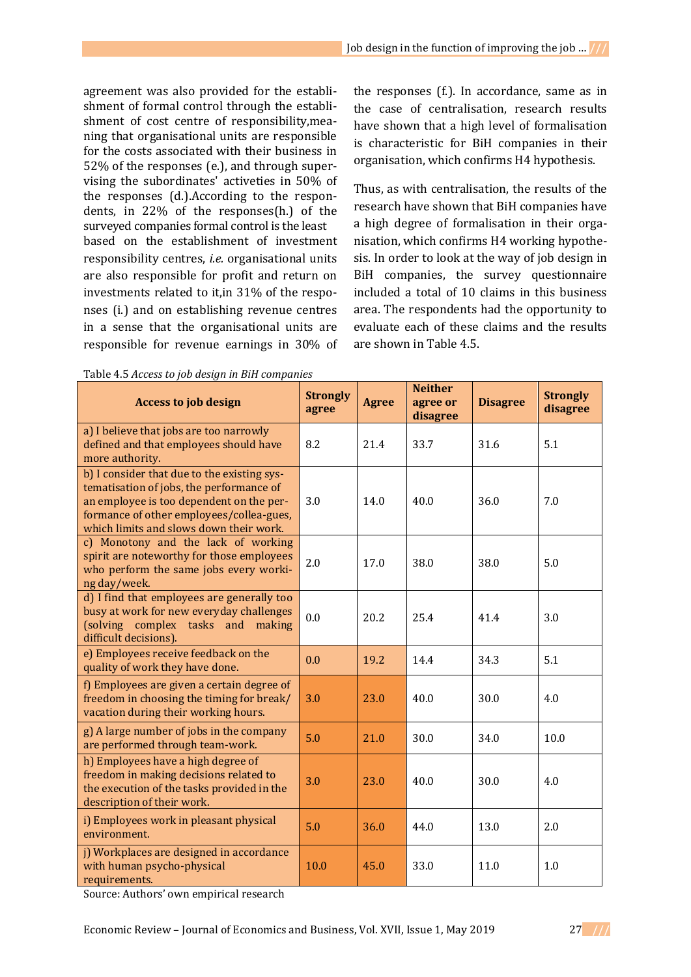agreement was also provided for the establishment of formal control through the establishment of cost centre of responsibility,meaning that organisational units are responsible for the costs associated with their business in 52% of the responses (e.), and through supervising the subordinates' activeties in 50% of the responses (d.).According to the respondents, in 22% of the responses(h.) of the surveyed companies formal control is the least based on the establishment of investment responsibility centres, *i.e.* organisational units are also responsible for profit and return on investments related to it,in 31% of the responses (i.) and on establishing revenue centres in a sense that the organisational units are responsible for revenue earnings in 30% of

Table 4.5 *Access to job design in BiH companies* 

the responses (f.). In accordance, same as in the case of centralisation, research results have shown that a high level of formalisation is characteristic for BiH companies in their organisation, which confirms H4 hypothesis.

Thus, as with centralisation, the results of the research have shown that BiH companies have a high degree of formalisation in their organisation, which confirms H4 working hypothesis. In order to look at the way of job design in BiH companies, the survey questionnaire included a total of 10 claims in this business area. The respondents had the opportunity to evaluate each of these claims and the results are shown in Table 4.5.

| rapic 1.5 necess to job acsign in bin companies<br><b>Access to job design</b>                                                                                                                                             | <b>Strongly</b><br>agree | <b>Agree</b> | <b>Neither</b><br>agree or<br>disagree | <b>Disagree</b> | <b>Strongly</b><br>disagree |
|----------------------------------------------------------------------------------------------------------------------------------------------------------------------------------------------------------------------------|--------------------------|--------------|----------------------------------------|-----------------|-----------------------------|
| a) I believe that jobs are too narrowly<br>defined and that employees should have<br>more authority.                                                                                                                       | 8.2                      | 21.4         | 33.7                                   | 31.6            | 5.1                         |
| b) I consider that due to the existing sys-<br>tematisation of jobs, the performance of<br>an employee is too dependent on the per-<br>formance of other employees/collea-gues,<br>which limits and slows down their work. | 3.0                      | 14.0         | 40.0                                   | 36.0            | 7.0                         |
| c) Monotony and the lack of working<br>spirit are noteworthy for those employees<br>who perform the same jobs every worki-<br>ng day/week.                                                                                 | 2.0                      | 17.0         | 38.0                                   | 38.0            | 5.0                         |
| d) I find that employees are generally too<br>busy at work for new everyday challenges<br>(solving complex tasks and making<br>difficult decisions).                                                                       | 0.0                      | 20.2         | 25.4                                   | 41.4            | 3.0                         |
| e) Employees receive feedback on the<br>quality of work they have done.                                                                                                                                                    | 0.0                      | 19.2         | 14.4                                   | 34.3            | 5.1                         |
| f) Employees are given a certain degree of<br>freedom in choosing the timing for break/<br>vacation during their working hours.                                                                                            | 3.0                      | 23.0         | 40.0                                   | 30.0            | 4.0                         |
| g) A large number of jobs in the company<br>are performed through team-work.                                                                                                                                               | 5.0                      | 21.0         | 30.0                                   | 34.0            | 10.0                        |
| h) Employees have a high degree of<br>freedom in making decisions related to<br>the execution of the tasks provided in the<br>description of their work.                                                                   | 3.0                      | 23.0         | 40.0                                   | 30.0            | 4.0                         |
| i) Employees work in pleasant physical<br>environment.                                                                                                                                                                     | 5.0                      | 36.0         | 44.0                                   | 13.0            | 2.0                         |
| j) Workplaces are designed in accordance<br>with human psycho-physical<br>requirements.                                                                                                                                    | 10.0                     | 45.0         | 33.0                                   | 11.0            | 1.0                         |

Source: Authors' own empirical research

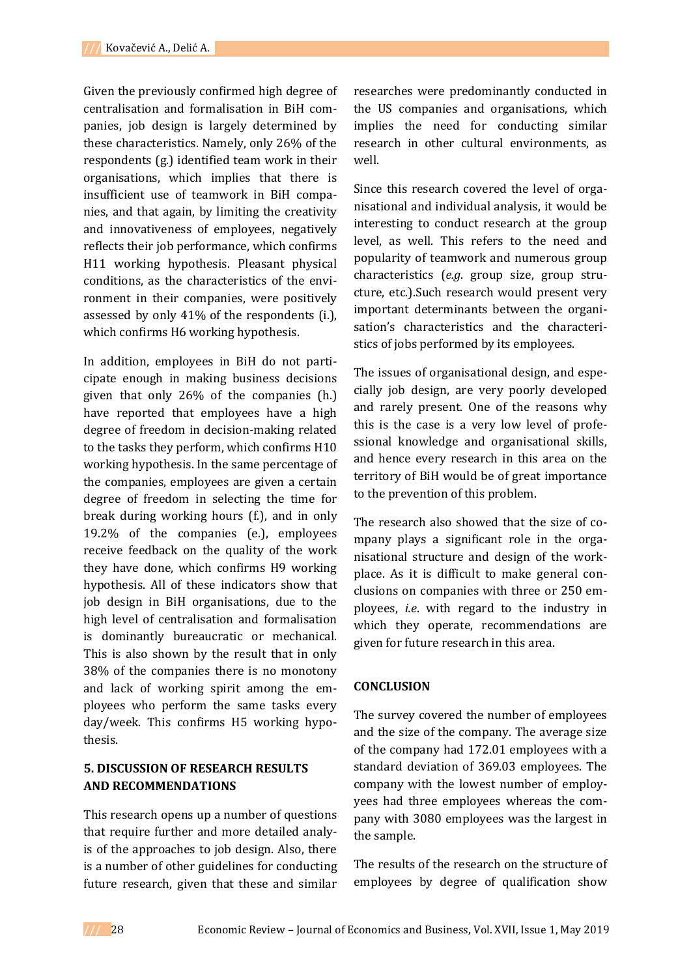Given the previously confirmed high degree of centralisation and formalisation in BiH companies, job design is largely determined by these characteristics. Namely, only 26% of the respondents (g.) identified team work in their organisations, which implies that there is insufficient use of teamwork in BiH companies, and that again, by limiting the creativity and innovativeness of employees, negatively reflects their job performance, which confirms H11 working hypothesis. Pleasant physical conditions, as the characteristics of the environment in their companies, were positively assessed by only 41% of the respondents (i.), which confirms H6 working hypothesis.

In addition, employees in BiH do not participate enough in making business decisions given that only 26% of the companies (h.) have reported that employees have a high degree of freedom in decision-making related to the tasks they perform, which confirms H10 working hypothesis. In the same percentage of the companies, employees are given a certain degree of freedom in selecting the time for break during working hours (f.), and in only 19.2% of the companies (e.), employees receive feedback on the quality of the work they have done, which confirms H9 working hypothesis. All of these indicators show that job design in BiH organisations, due to the high level of centralisation and formalisation is dominantly bureaucratic or mechanical. This is also shown by the result that in only 38% of the companies there is no monotony and lack of working spirit among the employees who perform the same tasks every day/week. This confirms H5 working hypothesis.

# **5. DISCUSSION OF RESEARCH RESULTS AND RECOMMENDATIONS**

This research opens up a number of questions that require further and more detailed analyis of the approaches to job design. Also, there is a number of other guidelines for conducting future research, given that these and similar

researches were predominantly conducted in the US companies and organisations, which implies the need for conducting similar research in other cultural environments, as well.

Since this research covered the level of organisational and individual analysis, it would be interesting to conduct research at the group level, as well. This refers to the need and popularity of teamwork and numerous group characteristics (*e.g*. group size, group structure, etc.).Such research would present very important determinants between the organisation's characteristics and the characteristics of jobs performed by its employees.

The issues of organisational design, and especially job design, are very poorly developed and rarely present. One of the reasons why this is the case is a very low level of professional knowledge and organisational skills, and hence every research in this area on the territory of BiH would be of great importance to the prevention of this problem.

The research also showed that the size of company plays a significant role in the organisational structure and design of the workplace. As it is difficult to make general conclusions on companies with three or 250 employees, *i.e*. with regard to the industry in which they operate, recommendations are given for future research in this area.

## **CONCLUSION**

The survey covered the number of employees and the size of the company. The average size of the company had 172.01 employees with a standard deviation of 369.03 employees. The company with the lowest number of employyees had three employees whereas the company with 3080 employees was the largest in the sample.

The results of the research on the structure of employees by degree of qualification show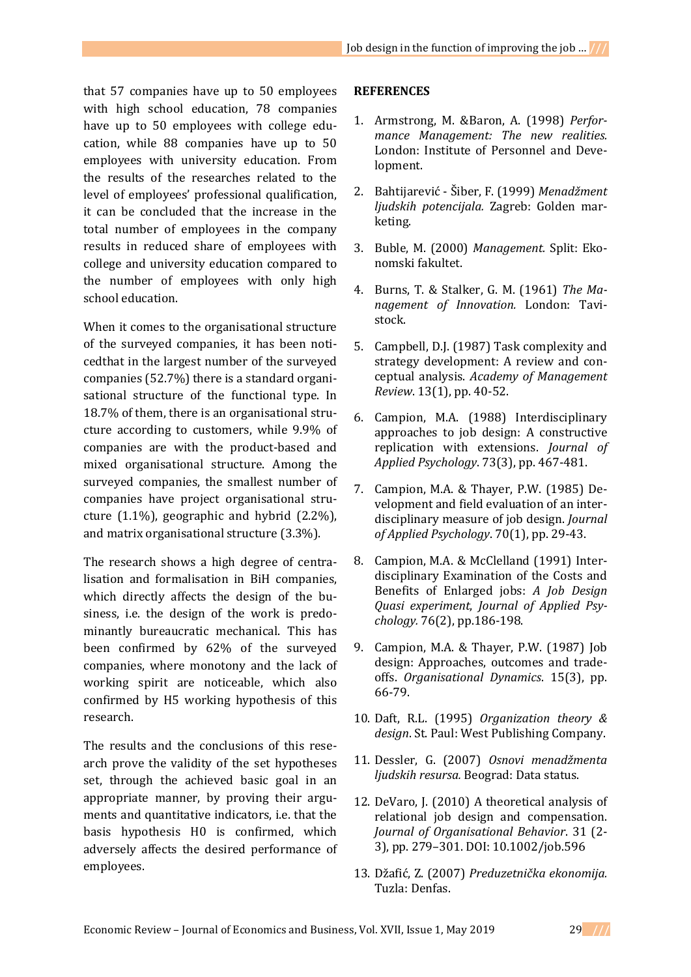that 57 companies have up to 50 employees with high school education, 78 companies have up to 50 employees with college education, while 88 companies have up to 50 employees with university education. From the results of the researches related to the level of employees' professional qualification, it can be concluded that the increase in the total number of employees in the company results in reduced share of employees with college and university education compared to the number of employees with only high school education.

When it comes to the organisational structure of the surveyed companies, it has been noticedthat in the largest number of the surveyed companies (52.7%) there is a standard organisational structure of the functional type. In 18.7% of them, there is an organisational structure according to customers, while 9.9% of companies are with the product-based and mixed organisational structure. Among the surveyed companies, the smallest number of companies have project organisational structure (1.1%), geographic and hybrid (2.2%), and matrix organisational structure (3.3%).

The research shows a high degree of centralisation and formalisation in BiH companies, which directly affects the design of the business, i.e. the design of the work is predominantly bureaucratic mechanical. This has been confirmed by 62% of the surveyed companies, where monotony and the lack of working spirit are noticeable, which also confirmed by H5 working hypothesis of this research.

The results and the conclusions of this research prove the validity of the set hypotheses set, through the achieved basic goal in an appropriate manner, by proving their arguments and quantitative indicators, i.e. that the basis hypothesis H0 is confirmed, which adversely affects the desired performance of employees.

## **REFERENCES**

- 1. Armstrong, M. &Baron, A. (1998) *Performance Management: The new realities.* London: Institute of Personnel and Development.
- 2. Bahtijarević Šiber, F. (1999) *Menadžment ljudskih potencijala.* Zagreb: Golden marketing.
- 3. Buble, M. (2000) *Management.* Split: Ekonomski fakultet.
- 4. Burns, T. & Stalker, G. M. (1961) *The Management of Innovation.* London: Tavistock.
- 5. Campbell, D.J. (1987) Task complexity and strategy development: A review and conceptual analysis. *Academy of Management Review*. 13(1), pp. 40-52.
- 6. Campion, M.A. (1988) Interdisciplinary approaches to job design: A constructive replication with extensions. *Journal of Applied Psychology*. 73(3), pp. 467-481.
- 7. Campion, M.A. & Thayer, P.W. (1985) Development and field evaluation of an interdisciplinary measure of job design. *Journal of Applied Psychology*. 70(1), pp. 29-43.
- 8. Campion, M.A. & McClelland (1991) Interdisciplinary Examination of the Costs and Benefits of Enlarged jobs: *A Job Design Quasi experiment*, *Journal of Applied Psychology.* 76(2), pp.186-198.
- 9. Campion, M.A. & Thayer, P.W. (1987) Job design: Approaches, outcomes and tradeoffs. *Organisational Dynamics*. 15(3), pp. 66-79.
- 10. Daft, R.L. (1995) *Organization theory & design*. St. Paul: West Publishing Company.
- 11. Dessler, G. (2007) *Osnovi menadžmenta ljudskih resursa.* Beograd: Data status.
- 12. DeVaro, J. (2010) A theoretical analysis of relational job design and compensation. *Journal of Organisational Behavior*. 31 (2- 3), pp. 279–301. DOI: 10.1002/job.596
- 13. Džafić, Z. (2007) *Preduzetnička ekonomija.* Tuzla: Denfas.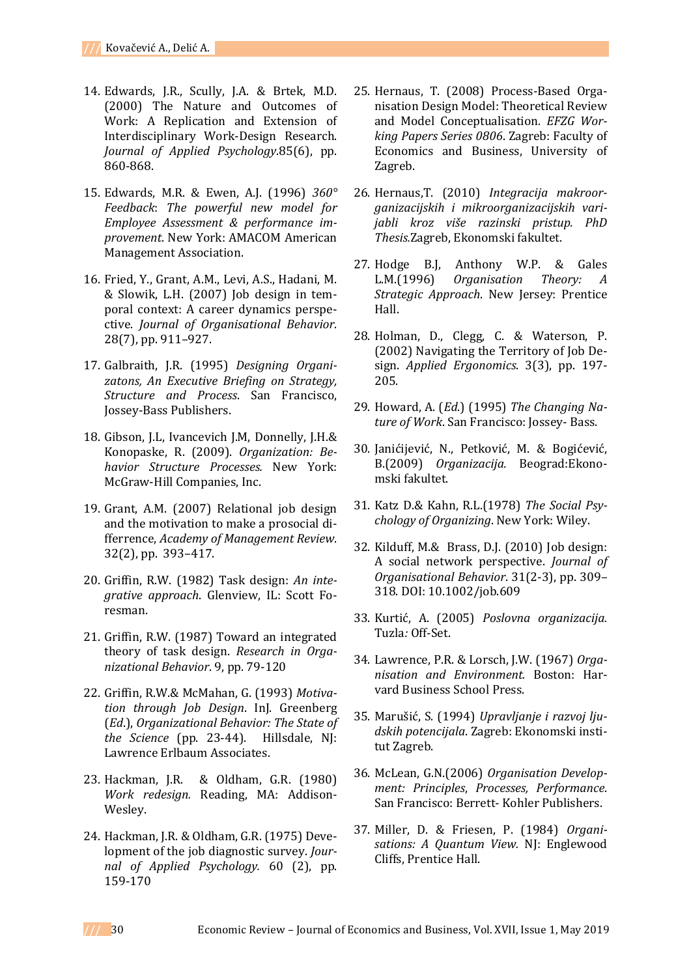- 14. Edwards, J.R., Scully, J.A. & Brtek, M.D. (2000) The Nature and Outcomes of Work: A Replication and Extension of Interdisciplinary Work-Design Research. *Journal of Applied Psychology*.85(6), pp. 860-868.
- 15. Edwards, M.R. & Ewen, A.J. (1996) *360° Feedback*: *The powerful new model for Employee Assessment & performance improvement*. New York: AMACOM American Management Association.
- 16. Fried, Y., Grant, A.M., Levi, A.S., Hadani, M. & Slowik, L.H. (2007) Job design in temporal context: A career dynamics perspective. *Journal of Organisational Behavior*. 28(7), pp. 911–927.
- 17. Galbraith, J.R. (1995) *Designing Organizatons, An Executive Briefing on Strategy, Structure and Process*. San Francisco, Jossey-Bass Publishers.
- 18. Gibson, J.L, Ivancevich J.M, Donnelly, J.H.& Konopaske, R. (2009). *Organization: Behavior Structure Processes.* New York: McGraw-Hill Companies, Inc.
- 19. Grant, A.M. (2007) Relational job design and the motivation to make a prosocial differrence, *Academy of Management Review*. 32(2), pp. 393–417.
- 20. Griffin, R.W. (1982) Task design: *An integrative approach*. Glenview, IL: Scott Foresman.
- 21. Griffin, R.W. (1987) Toward an integrated theory of task design. *Research in Organizational Behavior*. 9, pp. 79-120
- 22. Griffin, R.W.& McMahan, G. (1993) *Motivation through Job Design*. InJ. Greenberg (*Ed*.), *Organizational Behavior: The State of the Science* (pp. 23-44). Hillsdale, NJ: Lawrence Erlbaum Associates.
- 23. Hackman, J.R. & Oldham, G.R. (1980) *Work redesign.* Reading, MA: Addison-Wesley.
- 24. Hackman, J.R. & Oldham, G.R. (1975) Development of the job diagnostic survey. *Journal of Applied Psychology.* 60 (2), pp. 159-170
- 25. Hernaus, T. (2008) Process-Based Organisation Design Model: Theoretical Review and Model Conceptualisation*. EFZG Working Papers Series 0806*. Zagreb: Faculty of Economics and Business, University of Zagreb.
- 26. Hernaus,T. (2010) *Integracija makroorganizacijskih i mikroorganizacijskih varijabli kroz više razinski pristup. PhD Thesis.*Zagreb, Ekonomski fakultet.
- 27. Hodge B.J, Anthony W.P. & Gales L.M.(1996) *Organisation Theory: A Strategic Approach*. New Jersey: Prentice Hall.
- 28. Holman, D., Clegg, C. & Waterson, P. (2002) Navigating the Territory of Job Design. *Applied Ergonomics*. 3(3), pp. 197- 205.
- 29. Howard, A. (*Ed*.) (1995) *The Changing Nature of Work*. San Francisco: Jossey- Bass.
- 30. Janićijević, N., Petković, M. & Bogićević, B.(2009) *Organizacija.* Beograd:Ekonomski fakultet.
- 31. Katz D.& Kahn, R.L.(1978) *The Social Psychology of Organizing*. New York: Wiley.
- 32. Kilduff, M.& Brass, D.J. (2010) Job design: A social network perspective. *Journal of Organisational Behavior*. 31(2-3), pp. 309– 318. DOI: 10.1002/job.609
- 33. Kurtić, A. (2005) *Poslovna organizacija.*  Tuzla*:* Off-Set.
- 34. Lawrence, P.R. & Lorsch, J.W. (1967) *Organisation and Environment.* Boston: Harvard Business School Press.
- 35. Marušić, S. (1994) *Upravljanje i razvoj ljudskih potencijala*. Zagreb: Ekonomski institut Zagreb.
- 36. McLean, G.N.(2006) *Organisation Development: Principles*, *Processes, Performance*. San Francisco: Berrett- Kohler Publishers.
- 37. Miller, D. & Friesen, P. (1984) *Organi*sations: A Quantum View. NJ: Englewood Cliffs, Prentice Hall.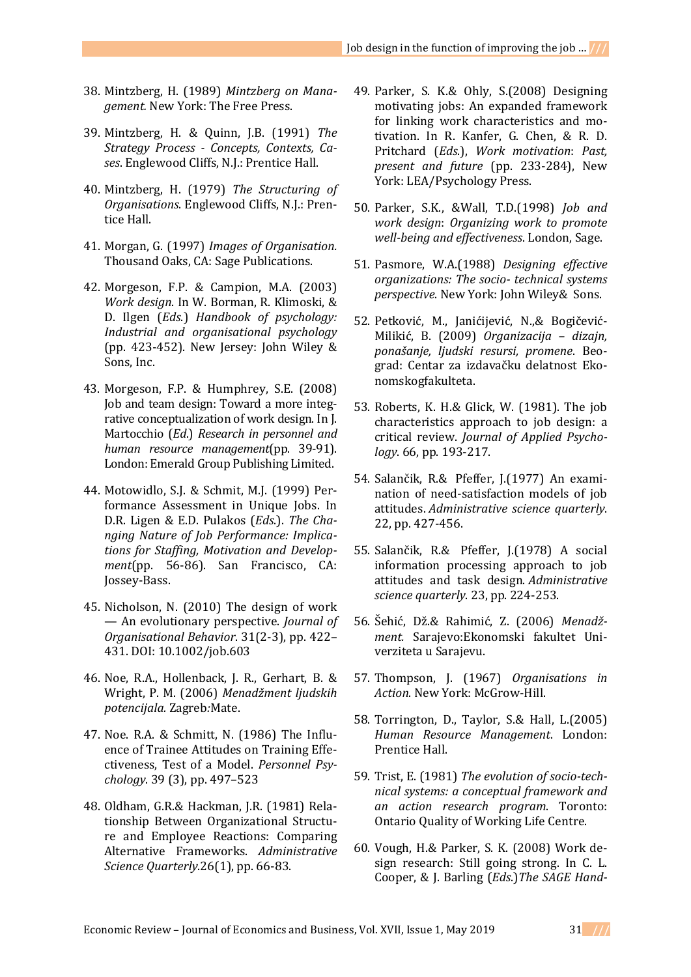- 38. Mintzberg, H. (1989) *Mintzberg on Management.* New York: The Free Press.
- 39. Mintzberg, H. & Quinn, J.B. (1991) *The Strategy Process - Concepts, Contexts, Cases*. Englewood Cliffs, N.J.: Prentice Hall.
- 40. Mintzberg, H. (1979) *The Structuring of Organisations*. Englewood Cliffs, N.J.: Prentice Hall.
- 41. Morgan, G. (1997) *Images of Organisation.* Thousand Oaks, CA: Sage Publications.
- 42. Morgeson, F.P. & Campion, M.A. (2003) *Work design*. In W. Borman, R. Klimoski, & D. Ilgen (*Eds*.) *Handbook of psychology: Industrial and organisational psychology* (pp. 423-452). New Jersey: John Wiley & Sons, Inc.
- 43. Morgeson, F.P. & Humphrey, S.E. (2008) Job and team design: Toward a more integrative conceptualization of work design. In J. Martocchio (*Ed*.) *Research in personnel and human resource management*(pp. 39-91). London: Emerald Group Publishing Limited.
- 44. Motowidlo, S.J. & Schmit, M.J. (1999) Performance Assessment in Unique Jobs. In D.R. Ligen & E.D. Pulakos (*Eds*.). *The Changing Nature of Job Performance: Implications for Staffing, Motivation and Development*(pp. 56-86). San Francisco, CA: Jossey-Bass.
- 45. Nicholson, N. (2010) The design of work — An evolutionary perspective. *Journal of Organisational Behavior*. 31(2-3), pp. 422– 431. DOI: 10.1002/job.603
- 46. Noe, R.A., Hollenback, J. R., Gerhart, B. & Wright, P. M. (2006) *Menadžment ljudskih potencijala.* Zagreb*:*Mate.
- 47. Noe. R.A. & Schmitt, N. (1986) The Influence of Trainee Attitudes on Training Effectiveness, Test of a Model. *Personnel Psychology*. 39 (3), pp. 497–523
- 48. Oldham, G.R.& Hackman, J.R. (1981) Relationship Between Organizational Structure and Employee Reactions: Comparing Alternative Frameworks. *Administrative Science Quarterly*.26(1), pp. 66-83.
- 49. Parker, S. K.& Ohly, S.(2008) Designing motivating jobs: An expanded framework for linking work characteristics and motivation. In R. Kanfer, G. Chen, & R. D. Pritchard (*Eds*.), *Work motivation*: *Past, present and future* (pp. 233-284), New York: LEA/Psychology Press.
- 50. Parker, S.K., &Wall, T.D.(1998) *Job and work design*: *Organizing work to promote well-being and effectiveness*. London, Sage.
- 51. Pasmore, W.A.(1988) *Designing effective organizations: The socio- technical systems perspective*. New York: John Wiley& Sons.
- 52. Petković, M., Janićijević, N.,& Bogičević-Milikić, B. (2009) *Organizacija – dizajn, ponašanje, ljudski resursi, promene*. Beograd: Centar za izdavačku delatnost Ekonomskogfakulteta.
- 53. Roberts, K. H.& Glick, W. (1981). The job characteristics approach to job design: a critical review. *Journal of Applied Psychology*. 66, pp. 193-217.
- 54. Salančik, R.& Pfeffer, J.(1977) An examination of need-satisfaction models of job attitudes. *Administrative science quarterly*. 22, pp. 427-456.
- 55. Salančik, R.& Pfeffer, J.(1978) A social information processing approach to job attitudes and task design. *Administrative science quarterly*. 23, pp. 224-253.
- 56. Šehić, Dž.& Rahimić, Z. (2006) *Menadžment.* Sarajevo:Ekonomski fakultet Univerziteta u Sarajevu.
- 57. Thompson, J. (1967) *Organisations in Action*. New York: McGrow-Hill.
- 58. Torrington, D., Taylor, S.& Hall, L.(2005) *Human Resource Management*. London: Prentice Hall.
- 59. Trist, E. (1981) *The evolution of socio-technical systems: a conceptual framework and an action research program*. Toronto: Ontario Quality of Working Life Centre.
- 60. Vough, H.& Parker, S. K. (2008) Work design research: Still going strong. In C. L. Cooper, & J. Barling (*Eds*.)*The SAGE Hand-*